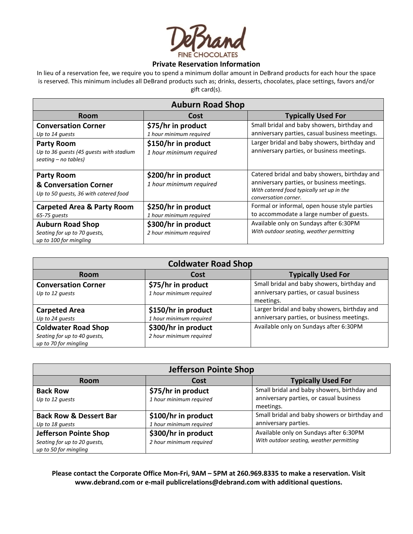

## **Private Reservation Information**

In lieu of a reservation fee, we require you to spend a minimum dollar amount in DeBrand products for each hour the space is reserved. This minimum includes all DeBrand products such as; drinks, desserts, chocolates, place settings, favors and/or gift card(s).

| <b>Auburn Road Shop</b>                                                                |                                                |                                                                                                                                                                  |  |  |
|----------------------------------------------------------------------------------------|------------------------------------------------|------------------------------------------------------------------------------------------------------------------------------------------------------------------|--|--|
| <b>Room</b>                                                                            | Cost                                           | <b>Typically Used For</b>                                                                                                                                        |  |  |
| <b>Conversation Corner</b><br>Up to 14 quests                                          | \$75/hr in product<br>1 hour minimum required  | Small bridal and baby showers, birthday and<br>anniversary parties, casual business meetings.                                                                    |  |  |
| <b>Party Room</b><br>Up to 36 quests (45 quests with stadium<br>$seating - no tables)$ | \$150/hr in product<br>1 hour minimum required | Larger bridal and baby showers, birthday and<br>anniversary parties, or business meetings.                                                                       |  |  |
| <b>Party Room</b><br>& Conversation Corner<br>Up to 50 quests, 36 with catered food    | \$200/hr in product<br>1 hour minimum required | Catered bridal and baby showers, birthday and<br>anniversary parties, or business meetings.<br>With catered food typically set up in the<br>conversation corner. |  |  |
| <b>Carpeted Area &amp; Party Room</b><br>65-75 quests                                  | \$250/hr in product<br>1 hour minimum required | Formal or informal, open house style parties<br>to accommodate a large number of guests.                                                                         |  |  |
| <b>Auburn Road Shop</b><br>Seating for up to 70 quests,<br>up to 100 for mingling      | \$300/hr in product<br>2 hour minimum required | Available only on Sundays after 6:30PM<br>With outdoor seating, weather permitting                                                                               |  |  |

| <b>Coldwater Road Shop</b>                                                          |                                                |                                                                                                     |  |
|-------------------------------------------------------------------------------------|------------------------------------------------|-----------------------------------------------------------------------------------------------------|--|
| <b>Room</b>                                                                         | <b>Cost</b>                                    | <b>Typically Used For</b>                                                                           |  |
| <b>Conversation Corner</b><br>Up to 12 quests                                       | \$75/hr in product<br>1 hour minimum required  | Small bridal and baby showers, birthday and<br>anniversary parties, or casual business<br>meetings. |  |
| <b>Carpeted Area</b><br>Up to 24 quests                                             | \$150/hr in product<br>1 hour minimum required | Larger bridal and baby showers, birthday and<br>anniversary parties, or business meetings.          |  |
| <b>Coldwater Road Shop</b><br>Seating for up to 40 guests,<br>up to 70 for mingling | \$300/hr in product<br>2 hour minimum required | Available only on Sundays after 6:30PM                                                              |  |

| Jefferson Pointe Shop             |                         |                                               |  |
|-----------------------------------|-------------------------|-----------------------------------------------|--|
| <b>Room</b>                       | <b>Cost</b>             | <b>Typically Used For</b>                     |  |
| <b>Back Row</b>                   | \$75/hr in product      | Small bridal and baby showers, birthday and   |  |
| Up to 12 quests                   | 1 hour minimum required | anniversary parties, or casual business       |  |
|                                   |                         | meetings.                                     |  |
| <b>Back Row &amp; Dessert Bar</b> | \$100/hr in product     | Small bridal and baby showers or birthday and |  |
| Up to 18 quests                   | 1 hour minimum required | anniversary parties.                          |  |
| <b>Jefferson Pointe Shop</b>      | \$300/hr in product     | Available only on Sundays after 6:30PM        |  |
| Seating for up to 20 guests,      | 2 hour minimum required | With outdoor seating, weather permitting      |  |
| up to 50 for mingling             |                         |                                               |  |

**Please contact the Corporate Office Mon-Fri, 9AM – 5PM at 260.969.8335 to make a reservation. Visit www.debrand.com or e-mail publicrelations@debrand.com with additional questions.**